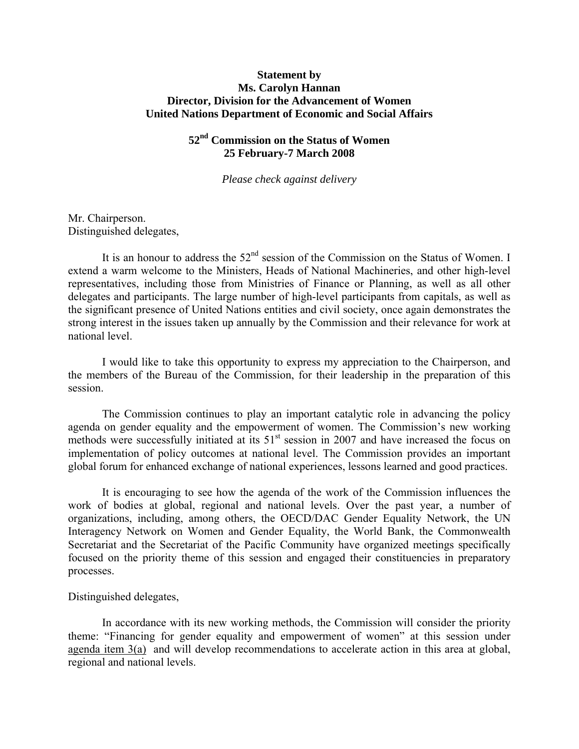## **Statement by Ms. Carolyn Hannan Director, Division for the Advancement of Women United Nations Department of Economic and Social Affairs**

# **52nd Commission on the Status of Women 25 February-7 March 2008**

*Please check against delivery* 

Mr. Chairperson. Distinguished delegates,

It is an honour to address the  $52<sup>nd</sup>$  session of the Commission on the Status of Women. I extend a warm welcome to the Ministers, Heads of National Machineries, and other high-level representatives, including those from Ministries of Finance or Planning, as well as all other delegates and participants. The large number of high-level participants from capitals, as well as the significant presence of United Nations entities and civil society, once again demonstrates the strong interest in the issues taken up annually by the Commission and their relevance for work at national level.

I would like to take this opportunity to express my appreciation to the Chairperson, and the members of the Bureau of the Commission, for their leadership in the preparation of this session.

 The Commission continues to play an important catalytic role in advancing the policy agenda on gender equality and the empowerment of women. The Commission's new working methods were successfully initiated at its  $51<sup>st</sup>$  session in 2007 and have increased the focus on implementation of policy outcomes at national level. The Commission provides an important global forum for enhanced exchange of national experiences, lessons learned and good practices.

 It is encouraging to see how the agenda of the work of the Commission influences the work of bodies at global, regional and national levels. Over the past year, a number of organizations, including, among others, the OECD/DAC Gender Equality Network, the UN Interagency Network on Women and Gender Equality, the World Bank, the Commonwealth Secretariat and the Secretariat of the Pacific Community have organized meetings specifically focused on the priority theme of this session and engaged their constituencies in preparatory processes.

Distinguished delegates,

In accordance with its new working methods, the Commission will consider the priority theme: "Financing for gender equality and empowerment of women" at this session under agenda item 3(a) and will develop recommendations to accelerate action in this area at global, regional and national levels.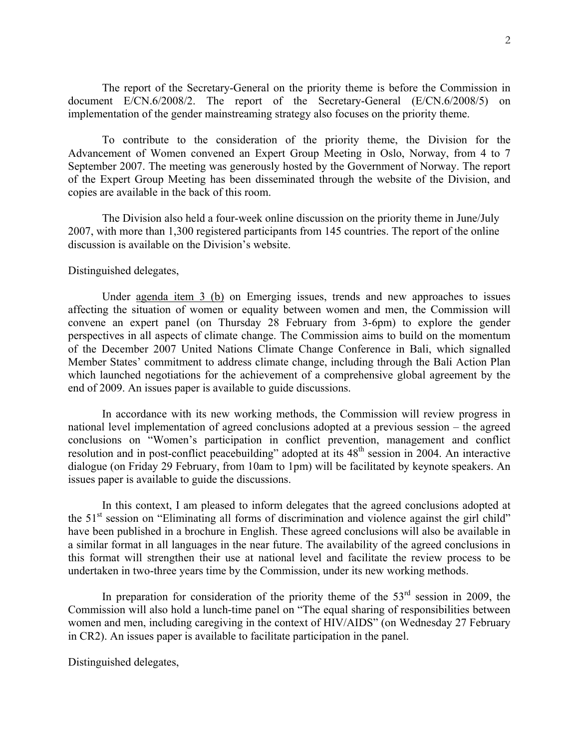The report of the Secretary-General on the priority theme is before the Commission in document E/CN.6/2008/2. The report of the Secretary-General (E/CN.6/2008/5) on implementation of the gender mainstreaming strategy also focuses on the priority theme.

 To contribute to the consideration of the priority theme, the Division for the Advancement of Women convened an Expert Group Meeting in Oslo, Norway, from 4 to 7 September 2007. The meeting was generously hosted by the Government of Norway. The report of the Expert Group Meeting has been disseminated through the website of the Division, and copies are available in the back of this room.

 The Division also held a four-week online discussion on the priority theme in June/July 2007, with more than 1,300 registered participants from 145 countries. The report of the online discussion is available on the Division's website.

### Distinguished delegates,

 Under agenda item 3 (b) on Emerging issues, trends and new approaches to issues affecting the situation of women or equality between women and men, the Commission will convene an expert panel (on Thursday 28 February from 3-6pm) to explore the gender perspectives in all aspects of climate change. The Commission aims to build on the momentum of the December 2007 United Nations Climate Change Conference in Bali, which signalled Member States' commitment to address climate change, including through the Bali Action Plan which launched negotiations for the achievement of a comprehensive global agreement by the end of 2009. An issues paper is available to guide discussions.

In accordance with its new working methods, the Commission will review progress in national level implementation of agreed conclusions adopted at a previous session – the agreed conclusions on "Women's participation in conflict prevention, management and conflict resolution and in post-conflict peacebuilding" adopted at its 48<sup>th</sup> session in 2004. An interactive dialogue (on Friday 29 February, from 10am to 1pm) will be facilitated by keynote speakers. An issues paper is available to guide the discussions.

In this context, I am pleased to inform delegates that the agreed conclusions adopted at the  $51<sup>st</sup>$  session on "Eliminating all forms of discrimination and violence against the girl child" have been published in a brochure in English. These agreed conclusions will also be available in a similar format in all languages in the near future. The availability of the agreed conclusions in this format will strengthen their use at national level and facilitate the review process to be undertaken in two-three years time by the Commission, under its new working methods.

In preparation for consideration of the priority theme of the  $53<sup>rd</sup>$  session in 2009, the Commission will also hold a lunch-time panel on "The equal sharing of responsibilities between women and men, including caregiving in the context of HIV/AIDS" (on Wednesday 27 February in CR2). An issues paper is available to facilitate participation in the panel.

Distinguished delegates,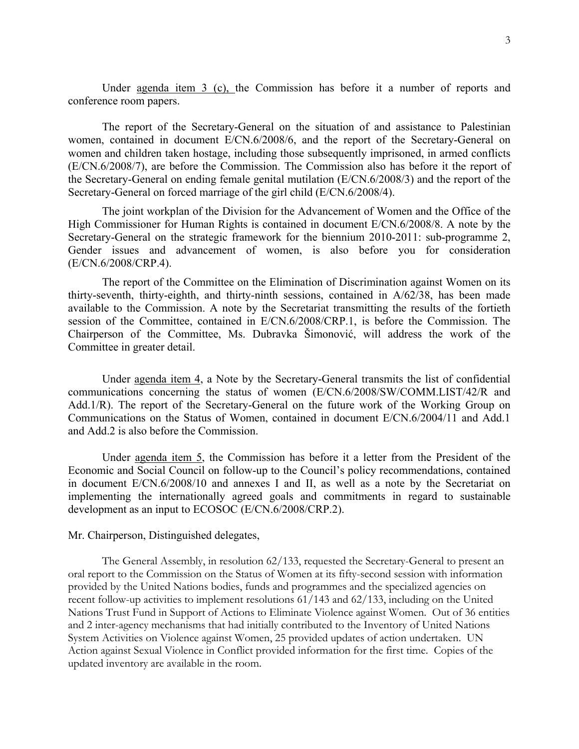Under agenda item 3 (c), the Commission has before it a number of reports and conference room papers.

The report of the Secretary-General on the situation of and assistance to Palestinian women, contained in document E/CN.6/2008/6, and the report of the Secretary-General on women and children taken hostage, including those subsequently imprisoned, in armed conflicts (E/CN.6/2008/7), are before the Commission. The Commission also has before it the report of the Secretary-General on ending female genital mutilation (E/CN.6/2008/3) and the report of the Secretary-General on forced marriage of the girl child (E/CN.6/2008/4).

The joint workplan of the Division for the Advancement of Women and the Office of the High Commissioner for Human Rights is contained in document E/CN.6/2008/8. A note by the Secretary-General on the strategic framework for the biennium 2010-2011: sub-programme 2, Gender issues and advancement of women, is also before you for consideration (E/CN.6/2008/CRP.4).

The report of the Committee on the Elimination of Discrimination against Women on its thirty-seventh, thirty-eighth, and thirty-ninth sessions, contained in A/62/38, has been made available to the Commission. A note by the Secretariat transmitting the results of the fortieth session of the Committee, contained in E/CN.6/2008/CRP.1, is before the Commission. The Chairperson of the Committee, Ms. Dubravka Šimonović, will address the work of the Committee in greater detail.

 Under agenda item 4, a Note by the Secretary-General transmits the list of confidential communications concerning the status of women (E/CN.6/2008/SW/COMM.LIST/42/R and Add.1/R). The report of the Secretary-General on the future work of the Working Group on Communications on the Status of Women, contained in document E/CN.6/2004/11 and Add.1 and Add.2 is also before the Commission.

 Under agenda item 5, the Commission has before it a letter from the President of the Economic and Social Council on follow-up to the Council's policy recommendations, contained in document E/CN.6/2008/10 and annexes I and II, as well as a note by the Secretariat on implementing the internationally agreed goals and commitments in regard to sustainable development as an input to ECOSOC (E/CN.6/2008/CRP.2).

#### Mr. Chairperson, Distinguished delegates,

The General Assembly, in resolution 62/133, requested the Secretary-General to present an oral report to the Commission on the Status of Women at its fifty-second session with information provided by the United Nations bodies, funds and programmes and the specialized agencies on recent follow-up activities to implement resolutions 61/143 and 62/133, including on the United Nations Trust Fund in Support of Actions to Eliminate Violence against Women. Out of 36 entities and 2 inter-agency mechanisms that had initially contributed to the Inventory of United Nations System Activities on Violence against Women, 25 provided updates of action undertaken. UN Action against Sexual Violence in Conflict provided information for the first time. Copies of the updated inventory are available in the room.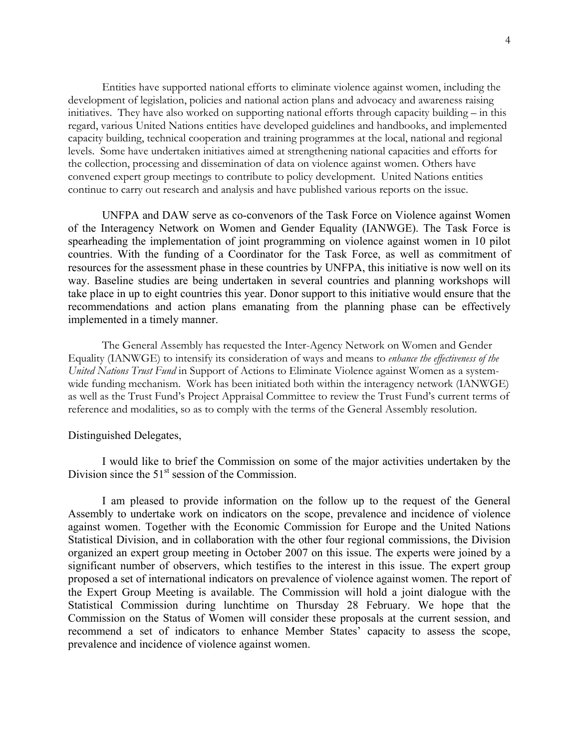Entities have supported national efforts to eliminate violence against women, including the development of legislation, policies and national action plans and advocacy and awareness raising initiatives. They have also worked on supporting national efforts through capacity building – in this regard, various United Nations entities have developed guidelines and handbooks, and implemented capacity building, technical cooperation and training programmes at the local, national and regional levels. Some have undertaken initiatives aimed at strengthening national capacities and efforts for the collection, processing and dissemination of data on violence against women. Others have convened expert group meetings to contribute to policy development. United Nations entities continue to carry out research and analysis and have published various reports on the issue.

UNFPA and DAW serve as co-convenors of the Task Force on Violence against Women of the Interagency Network on Women and Gender Equality (IANWGE). The Task Force is spearheading the implementation of joint programming on violence against women in 10 pilot countries. With the funding of a Coordinator for the Task Force, as well as commitment of resources for the assessment phase in these countries by UNFPA, this initiative is now well on its way. Baseline studies are being undertaken in several countries and planning workshops will take place in up to eight countries this year. Donor support to this initiative would ensure that the recommendations and action plans emanating from the planning phase can be effectively implemented in a timely manner.

The General Assembly has requested the Inter-Agency Network on Women and Gender Equality (IANWGE) to intensify its consideration of ways and means to *enhance the effectiveness of the United Nations Trust Fund* in Support of Actions to Eliminate Violence against Women as a systemwide funding mechanism. Work has been initiated both within the interagency network (IANWGE) as well as the Trust Fund's Project Appraisal Committee to review the Trust Fund's current terms of reference and modalities, so as to comply with the terms of the General Assembly resolution.

#### Distinguished Delegates,

 I would like to brief the Commission on some of the major activities undertaken by the Division since the  $51<sup>st</sup>$  session of the Commission.

I am pleased to provide information on the follow up to the request of the General Assembly to undertake work on indicators on the scope, prevalence and incidence of violence against women. Together with the Economic Commission for Europe and the United Nations Statistical Division, and in collaboration with the other four regional commissions, the Division organized an expert group meeting in October 2007 on this issue. The experts were joined by a significant number of observers, which testifies to the interest in this issue. The expert group proposed a set of international indicators on prevalence of violence against women. The report of the Expert Group Meeting is available. The Commission will hold a joint dialogue with the Statistical Commission during lunchtime on Thursday 28 February. We hope that the Commission on the Status of Women will consider these proposals at the current session, and recommend a set of indicators to enhance Member States' capacity to assess the scope, prevalence and incidence of violence against women.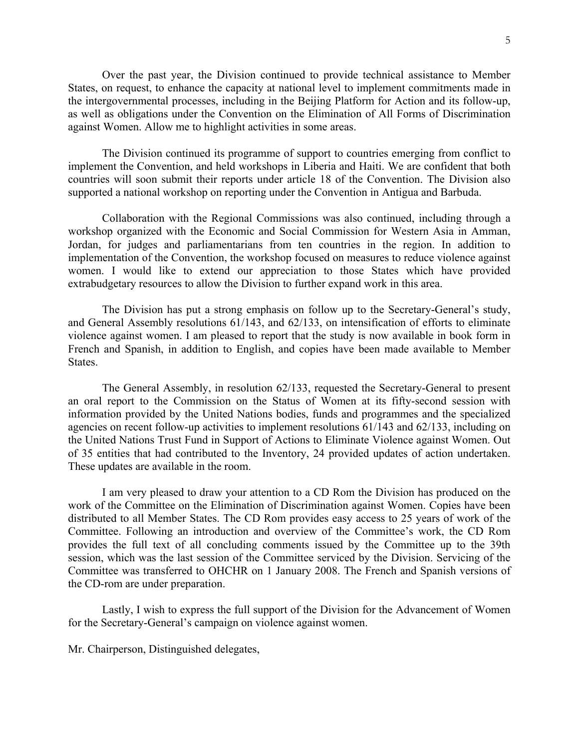Over the past year, the Division continued to provide technical assistance to Member States, on request, to enhance the capacity at national level to implement commitments made in the intergovernmental processes, including in the Beijing Platform for Action and its follow-up, as well as obligations under the Convention on the Elimination of All Forms of Discrimination against Women. Allow me to highlight activities in some areas.

The Division continued its programme of support to countries emerging from conflict to implement the Convention, and held workshops in Liberia and Haiti. We are confident that both countries will soon submit their reports under article 18 of the Convention. The Division also supported a national workshop on reporting under the Convention in Antigua and Barbuda.

Collaboration with the Regional Commissions was also continued, including through a workshop organized with the Economic and Social Commission for Western Asia in Amman, Jordan, for judges and parliamentarians from ten countries in the region. In addition to implementation of the Convention, the workshop focused on measures to reduce violence against women. I would like to extend our appreciation to those States which have provided extrabudgetary resources to allow the Division to further expand work in this area.

The Division has put a strong emphasis on follow up to the Secretary-General's study, and General Assembly resolutions 61/143, and 62/133, on intensification of efforts to eliminate violence against women. I am pleased to report that the study is now available in book form in French and Spanish, in addition to English, and copies have been made available to Member States.

The General Assembly, in resolution 62/133, requested the Secretary-General to present an oral report to the Commission on the Status of Women at its fifty-second session with information provided by the United Nations bodies, funds and programmes and the specialized agencies on recent follow-up activities to implement resolutions 61/143 and 62/133, including on the United Nations Trust Fund in Support of Actions to Eliminate Violence against Women. Out of 35 entities that had contributed to the Inventory, 24 provided updates of action undertaken. These updates are available in the room.

I am very pleased to draw your attention to a CD Rom the Division has produced on the work of the Committee on the Elimination of Discrimination against Women. Copies have been distributed to all Member States. The CD Rom provides easy access to 25 years of work of the Committee. Following an introduction and overview of the Committee's work, the CD Rom provides the full text of all concluding comments issued by the Committee up to the 39th session, which was the last session of the Committee serviced by the Division. Servicing of the Committee was transferred to OHCHR on 1 January 2008. The French and Spanish versions of the CD-rom are under preparation.

Lastly, I wish to express the full support of the Division for the Advancement of Women for the Secretary-General's campaign on violence against women.

Mr. Chairperson, Distinguished delegates,